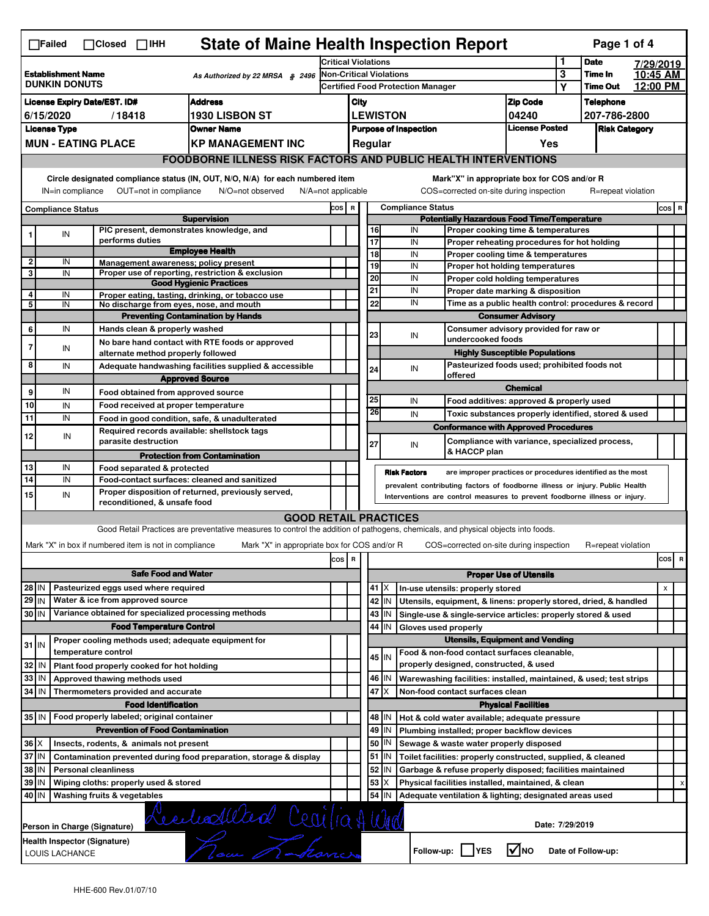| <b>State of Maine Health Inspection Report</b><br>Page 1 of 4<br>$\Box$ Failed<br>$\Box$ Closed $\Box$ IHH                  |                                                                                              |  |                               |  |                                                                                 |                                                                                        |                                                                                                                                                                   |       |                                   |                                                                                        |                                                              |                                         |                                                                                                                                                            |                                                                                   |                      |                    |  |                |                         |
|-----------------------------------------------------------------------------------------------------------------------------|----------------------------------------------------------------------------------------------|--|-------------------------------|--|---------------------------------------------------------------------------------|----------------------------------------------------------------------------------------|-------------------------------------------------------------------------------------------------------------------------------------------------------------------|-------|-----------------------------------|----------------------------------------------------------------------------------------|--------------------------------------------------------------|-----------------------------------------|------------------------------------------------------------------------------------------------------------------------------------------------------------|-----------------------------------------------------------------------------------|----------------------|--------------------|--|----------------|-------------------------|
|                                                                                                                             |                                                                                              |  |                               |  |                                                                                 |                                                                                        |                                                                                                                                                                   |       |                                   | Critical Violations                                                                    |                                                              |                                         | 1                                                                                                                                                          | <b>Date</b>                                                                       |                      | 7/29/2019          |  |                |                         |
| <b>Establishment Name</b><br>As Authorized by 22 MRSA § 2496<br><b>DUNKIN DONUTS</b>                                        |                                                                                              |  |                               |  | <b>Non-Critical Violations</b>                                                  |                                                                                        |                                                                                                                                                                   |       |                                   |                                                                                        |                                                              | 3                                       | Time In<br><b>Time Out</b>                                                                                                                                 |                                                                                   | 10:45 AM<br>12:00 PM |                    |  |                |                         |
|                                                                                                                             |                                                                                              |  |                               |  |                                                                                 | <b>Address</b>                                                                         |                                                                                                                                                                   |       | Certified Food Protection Manager |                                                                                        |                                                              |                                         |                                                                                                                                                            |                                                                                   | Y                    | <b>Telephone</b>   |  |                |                         |
| <b>License Expiry Date/EST. ID#</b><br><b>1930 LISBON ST</b><br>6/15/2020<br>/18418                                         |                                                                                              |  |                               |  |                                                                                 |                                                                                        | <b>Zip Code</b><br>City<br><b>LEWISTON</b><br>04240                                                                                                               |       |                                   |                                                                                        |                                                              |                                         | 207-786-2800                                                                                                                                               |                                                                                   |                      |                    |  |                |                         |
|                                                                                                                             | <b>License Type</b><br><b>Owner Name</b>                                                     |  |                               |  |                                                                                 |                                                                                        | <b>Purpose of Inspection</b>                                                                                                                                      |       |                                   |                                                                                        | <b>License Posted</b>                                        |                                         |                                                                                                                                                            | <b>Risk Category</b>                                                              |                      |                    |  |                |                         |
|                                                                                                                             |                                                                                              |  | <b>MUN - EATING PLACE</b>     |  |                                                                                 |                                                                                        | <b>KP MANAGEMENT INC</b>                                                                                                                                          |       | Regular<br>Yes                    |                                                                                        |                                                              |                                         |                                                                                                                                                            |                                                                                   |                      |                    |  |                |                         |
|                                                                                                                             |                                                                                              |  |                               |  |                                                                                 |                                                                                        | <b>FOODBORNE ILLNESS RISK FACTORS AND PUBLIC HEALTH INTERVENTIONS</b>                                                                                             |       |                                   |                                                                                        |                                                              |                                         |                                                                                                                                                            |                                                                                   |                      |                    |  |                |                         |
|                                                                                                                             | Circle designated compliance status (IN, OUT, N/O, N/A) for each numbered item               |  |                               |  |                                                                                 |                                                                                        |                                                                                                                                                                   |       |                                   |                                                                                        |                                                              |                                         | Mark"X" in appropriate box for COS and/or R                                                                                                                |                                                                                   |                      |                    |  |                |                         |
|                                                                                                                             | IN=in compliance<br>OUT=not in compliance<br>N/O=not observed<br>N/A=not applicable          |  |                               |  |                                                                                 |                                                                                        |                                                                                                                                                                   |       |                                   |                                                                                        |                                                              | COS=corrected on-site during inspection |                                                                                                                                                            |                                                                                   | R=repeat violation   |                    |  |                |                         |
|                                                                                                                             | <b>Compliance Status</b>                                                                     |  |                               |  |                                                                                 |                                                                                        |                                                                                                                                                                   | COS R |                                   |                                                                                        |                                                              | <b>Compliance Status</b>                |                                                                                                                                                            |                                                                                   |                      |                    |  | $cos$ R        |                         |
|                                                                                                                             |                                                                                              |  |                               |  |                                                                                 | <b>Supervision</b>                                                                     |                                                                                                                                                                   |       |                                   |                                                                                        |                                                              |                                         | <b>Potentially Hazardous Food Time/Temperature</b>                                                                                                         |                                                                                   |                      |                    |  |                |                         |
| 1                                                                                                                           | IN                                                                                           |  | performs duties               |  |                                                                                 | PIC present, demonstrates knowledge, and                                               |                                                                                                                                                                   |       |                                   | 16<br>17                                                                               |                                                              | IN<br>IN                                |                                                                                                                                                            | Proper cooking time & temperatures                                                |                      |                    |  |                |                         |
|                                                                                                                             |                                                                                              |  |                               |  |                                                                                 | <b>Employee Health</b>                                                                 |                                                                                                                                                                   |       |                                   | 18                                                                                     |                                                              | IN                                      |                                                                                                                                                            | Proper reheating procedures for hot holding<br>Proper cooling time & temperatures |                      |                    |  |                |                         |
| $\overline{\mathbf{2}}$                                                                                                     | IN                                                                                           |  |                               |  |                                                                                 | Management awareness; policy present                                                   |                                                                                                                                                                   |       |                                   | 19                                                                                     |                                                              | IN                                      |                                                                                                                                                            | Proper hot holding temperatures                                                   |                      |                    |  |                |                         |
| 3                                                                                                                           | IN                                                                                           |  |                               |  |                                                                                 | Proper use of reporting, restriction & exclusion<br><b>Good Hygienic Practices</b>     |                                                                                                                                                                   |       |                                   | $\overline{20}$                                                                        |                                                              | IN                                      |                                                                                                                                                            | Proper cold holding temperatures                                                  |                      |                    |  |                |                         |
| 4                                                                                                                           | IN                                                                                           |  |                               |  |                                                                                 | Proper eating, tasting, drinking, or tobacco use                                       |                                                                                                                                                                   |       |                                   | $\overline{21}$                                                                        |                                                              | IN                                      |                                                                                                                                                            | Proper date marking & disposition                                                 |                      |                    |  |                |                         |
| 5                                                                                                                           | IN                                                                                           |  |                               |  |                                                                                 | No discharge from eyes, nose, and mouth<br><b>Preventing Contamination by Hands</b>    |                                                                                                                                                                   |       |                                   | 22                                                                                     |                                                              | IN                                      | Time as a public health control: procedures & record<br><b>Consumer Advisory</b>                                                                           |                                                                                   |                      |                    |  |                |                         |
| 6                                                                                                                           | IN                                                                                           |  |                               |  |                                                                                 | Hands clean & properly washed                                                          |                                                                                                                                                                   |       |                                   |                                                                                        |                                                              |                                         |                                                                                                                                                            | Consumer advisory provided for raw or                                             |                      |                    |  |                |                         |
| $\overline{7}$                                                                                                              |                                                                                              |  |                               |  |                                                                                 | No bare hand contact with RTE foods or approved                                        |                                                                                                                                                                   |       |                                   | 23                                                                                     |                                                              | IN                                      | undercooked foods                                                                                                                                          |                                                                                   |                      |                    |  |                |                         |
|                                                                                                                             | IN                                                                                           |  |                               |  |                                                                                 | alternate method properly followed                                                     |                                                                                                                                                                   |       |                                   |                                                                                        |                                                              |                                         |                                                                                                                                                            | <b>Highly Susceptible Populations</b>                                             |                      |                    |  |                |                         |
| 8                                                                                                                           | IN                                                                                           |  |                               |  |                                                                                 |                                                                                        | Adequate handwashing facilities supplied & accessible                                                                                                             |       |                                   | 24                                                                                     |                                                              | IN                                      | offered                                                                                                                                                    | Pasteurized foods used; prohibited foods not                                      |                      |                    |  |                |                         |
| 9                                                                                                                           | IN                                                                                           |  |                               |  |                                                                                 | <b>Approved Source</b><br>Food obtained from approved source                           |                                                                                                                                                                   |       |                                   |                                                                                        |                                                              |                                         |                                                                                                                                                            | <b>Chemical</b>                                                                   |                      |                    |  |                |                         |
| 10                                                                                                                          | IN                                                                                           |  |                               |  |                                                                                 | Food received at proper temperature                                                    |                                                                                                                                                                   |       |                                   | 25                                                                                     |                                                              | IN                                      |                                                                                                                                                            | Food additives: approved & properly used                                          |                      |                    |  |                |                         |
| 11                                                                                                                          | IN                                                                                           |  |                               |  |                                                                                 | Food in good condition, safe, & unadulterated                                          |                                                                                                                                                                   |       |                                   | 26                                                                                     |                                                              | IN                                      |                                                                                                                                                            | Toxic substances properly identified, stored & used                               |                      |                    |  |                |                         |
| 12                                                                                                                          | IN                                                                                           |  |                               |  |                                                                                 | Required records available: shellstock tags                                            |                                                                                                                                                                   |       |                                   |                                                                                        |                                                              |                                         | <b>Conformance with Approved Procedures</b>                                                                                                                |                                                                                   |                      |                    |  |                |                         |
|                                                                                                                             |                                                                                              |  | parasite destruction          |  |                                                                                 |                                                                                        |                                                                                                                                                                   |       |                                   | 27                                                                                     |                                                              | IN                                      | & HACCP plan                                                                                                                                               | Compliance with variance, specialized process,                                    |                      |                    |  |                |                         |
| 13                                                                                                                          | IN                                                                                           |  |                               |  | Food separated & protected                                                      | <b>Protection from Contamination</b>                                                   |                                                                                                                                                                   |       |                                   |                                                                                        |                                                              |                                         |                                                                                                                                                            |                                                                                   |                      |                    |  |                |                         |
| 14                                                                                                                          | IN                                                                                           |  |                               |  |                                                                                 | Food-contact surfaces: cleaned and sanitized                                           |                                                                                                                                                                   |       |                                   |                                                                                        |                                                              | <b>Risk Factors</b>                     | are improper practices or procedures identified as the most                                                                                                |                                                                                   |                      |                    |  |                |                         |
| 15                                                                                                                          | IN                                                                                           |  |                               |  |                                                                                 | Proper disposition of returned, previously served,                                     |                                                                                                                                                                   |       |                                   |                                                                                        |                                                              |                                         | prevalent contributing factors of foodborne illness or injury. Public Health<br>Interventions are control measures to prevent foodborne illness or injury. |                                                                                   |                      |                    |  |                |                         |
|                                                                                                                             |                                                                                              |  |                               |  | reconditioned, & unsafe food                                                    |                                                                                        |                                                                                                                                                                   |       |                                   |                                                                                        |                                                              |                                         |                                                                                                                                                            |                                                                                   |                      |                    |  |                |                         |
|                                                                                                                             |                                                                                              |  |                               |  |                                                                                 |                                                                                        | <b>GOOD RETAIL PRACTICES</b><br>Good Retail Practices are preventative measures to control the addition of pathogens, chemicals, and physical objects into foods. |       |                                   |                                                                                        |                                                              |                                         |                                                                                                                                                            |                                                                                   |                      |                    |  |                |                         |
|                                                                                                                             |                                                                                              |  |                               |  |                                                                                 | Mark "X" in box if numbered item is not in compliance                                  | Mark "X" in appropriate box for COS and/or R                                                                                                                      |       |                                   |                                                                                        |                                                              |                                         | COS=corrected on-site during inspection                                                                                                                    |                                                                                   |                      | R=repeat violation |  |                |                         |
|                                                                                                                             |                                                                                              |  |                               |  |                                                                                 |                                                                                        |                                                                                                                                                                   | cos R |                                   |                                                                                        |                                                              |                                         |                                                                                                                                                            |                                                                                   |                      |                    |  | cos            | $\overline{\mathbf{R}}$ |
|                                                                                                                             |                                                                                              |  |                               |  | <b>Safe Food and Water</b>                                                      |                                                                                        |                                                                                                                                                                   |       |                                   |                                                                                        |                                                              |                                         |                                                                                                                                                            | <b>Proper Use of Utensils</b>                                                     |                      |                    |  |                |                         |
| 28 IN                                                                                                                       |                                                                                              |  |                               |  | Pasteurized eggs used where required                                            |                                                                                        |                                                                                                                                                                   |       |                                   | 41                                                                                     | ΙX<br>In-use utensils: properly stored                       |                                         |                                                                                                                                                            |                                                                                   |                      |                    |  | $\pmb{\times}$ |                         |
| $29$ IN                                                                                                                     |                                                                                              |  |                               |  | Water & ice from approved source                                                |                                                                                        |                                                                                                                                                                   |       |                                   | 42                                                                                     | IN                                                           |                                         | Utensils, equipment, & linens: properly stored, dried, & handled                                                                                           |                                                                                   |                      |                    |  |                |                         |
| 30 IN                                                                                                                       |                                                                                              |  |                               |  |                                                                                 | Variance obtained for specialized processing methods                                   |                                                                                                                                                                   |       |                                   | 43                                                                                     | IN.                                                          |                                         | Single-use & single-service articles: properly stored & used                                                                                               |                                                                                   |                      |                    |  |                |                         |
|                                                                                                                             |                                                                                              |  |                               |  |                                                                                 | <b>Food Temperature Control</b><br>Proper cooling methods used; adequate equipment for |                                                                                                                                                                   |       |                                   | 44                                                                                     | IN                                                           |                                         | Gloves used properly<br><b>Utensils, Equipment and Vending</b>                                                                                             |                                                                                   |                      |                    |  |                |                         |
| $31$ IN                                                                                                                     |                                                                                              |  | temperature control           |  |                                                                                 |                                                                                        |                                                                                                                                                                   |       |                                   | $45$ IN                                                                                |                                                              |                                         | Food & non-food contact surfaces cleanable,                                                                                                                |                                                                                   |                      |                    |  |                |                         |
| 32 IN                                                                                                                       |                                                                                              |  |                               |  |                                                                                 | Plant food properly cooked for hot holding                                             |                                                                                                                                                                   |       |                                   |                                                                                        |                                                              |                                         | properly designed, constructed, & used                                                                                                                     |                                                                                   |                      |                    |  |                |                         |
| 33<br>l IN                                                                                                                  |                                                                                              |  | Approved thawing methods used |  |                                                                                 |                                                                                        |                                                                                                                                                                   |       |                                   | 46 IN                                                                                  |                                                              |                                         | Warewashing facilities: installed, maintained, & used; test strips                                                                                         |                                                                                   |                      |                    |  |                |                         |
| 34<br>l IN                                                                                                                  |                                                                                              |  |                               |  | Thermometers provided and accurate                                              |                                                                                        |                                                                                                                                                                   |       |                                   |                                                                                        | 47<br>ΙX<br>Non-food contact surfaces clean                  |                                         |                                                                                                                                                            |                                                                                   |                      |                    |  |                |                         |
|                                                                                                                             |                                                                                              |  |                               |  | <b>Food Identification</b><br>35 IN   Food properly labeled; original container |                                                                                        |                                                                                                                                                                   |       |                                   | <b>Physical Facilities</b><br>48   IN<br>Hot & cold water available; adequate pressure |                                                              |                                         |                                                                                                                                                            |                                                                                   |                      |                    |  |                |                         |
|                                                                                                                             |                                                                                              |  |                               |  |                                                                                 | <b>Prevention of Food Contamination</b>                                                |                                                                                                                                                                   |       |                                   | 49                                                                                     | IN.                                                          |                                         | Plumbing installed; proper backflow devices                                                                                                                |                                                                                   |                      |                    |  |                |                         |
| $36 \times$                                                                                                                 |                                                                                              |  |                               |  | Insects, rodents, & animals not present                                         |                                                                                        |                                                                                                                                                                   |       |                                   | 50                                                                                     | ΙN                                                           |                                         | Sewage & waste water properly disposed                                                                                                                     |                                                                                   |                      |                    |  |                |                         |
| 37 IN                                                                                                                       | Contamination prevented during food preparation, storage & display                           |  |                               |  |                                                                                 |                                                                                        |                                                                                                                                                                   | 51    | ΙM                                |                                                                                        | Toilet facilities: properly constructed, supplied, & cleaned |                                         |                                                                                                                                                            |                                                                                   |                      |                    |  |                |                         |
| 38 IN                                                                                                                       | <b>Personal cleanliness</b>                                                                  |  |                               |  |                                                                                 |                                                                                        |                                                                                                                                                                   | 52    | ΙM                                |                                                                                        | Garbage & refuse properly disposed; facilities maintained    |                                         |                                                                                                                                                            |                                                                                   |                      |                    |  |                |                         |
| 39 IN                                                                                                                       |                                                                                              |  |                               |  | Wiping cloths: properly used & stored                                           |                                                                                        |                                                                                                                                                                   |       |                                   | 53<br>54                                                                               | X                                                            |                                         | Physical facilities installed, maintained, & clean                                                                                                         |                                                                                   |                      |                    |  |                | х                       |
| 40 IN                                                                                                                       | IN.<br>Adequate ventilation & lighting; designated areas used<br>Washing fruits & vegetables |  |                               |  |                                                                                 |                                                                                        |                                                                                                                                                                   |       |                                   |                                                                                        |                                                              |                                         |                                                                                                                                                            |                                                                                   |                      |                    |  |                |                         |
|                                                                                                                             | Date: 7/29/2019<br>Person in Charge (Signature)                                              |  |                               |  |                                                                                 |                                                                                        |                                                                                                                                                                   |       |                                   |                                                                                        |                                                              |                                         |                                                                                                                                                            |                                                                                   |                      |                    |  |                |                         |
| Lecladelled Cecilia Alled<br>Health Inspector (Signature)<br>∣√мо<br>Follow-up: YES<br>Date of Follow-up:<br>LOUIS LACHANCE |                                                                                              |  |                               |  |                                                                                 |                                                                                        |                                                                                                                                                                   |       |                                   |                                                                                        |                                                              |                                         |                                                                                                                                                            |                                                                                   |                      |                    |  |                |                         |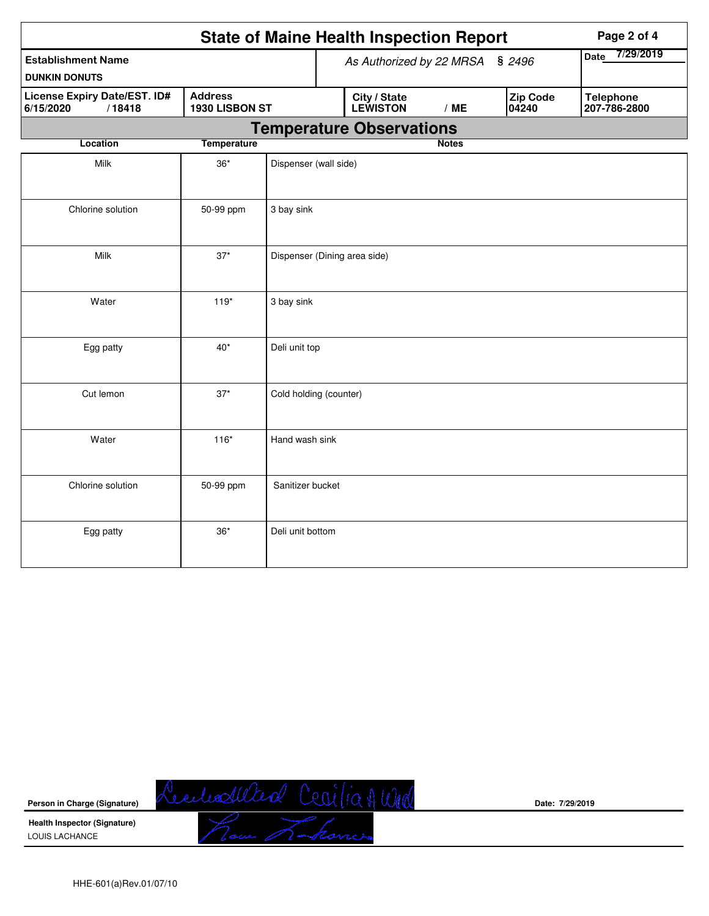| <b>State of Maine Health Inspection Report</b><br>Page 2 of 4 |                              |                        |                          |                                  |              |  |  |  |  |
|---------------------------------------------------------------|------------------------------|------------------------|--------------------------|----------------------------------|--------------|--|--|--|--|
| <b>Establishment Name</b><br><b>DUNKIN DONUTS</b>             |                              |                        | As Authorized by 22 MRSA | 7/29/2019<br>Date                |              |  |  |  |  |
| <b>License Expiry Date/EST. ID#</b><br>6/15/2020<br>/18418    | 1930 LISBON ST               |                        | <b>Zip Code</b><br>04240 | <b>Telephone</b><br>207-786-2800 |              |  |  |  |  |
|                                                               |                              |                        |                          | <b>Temperature Observations</b>  |              |  |  |  |  |
| <b>Location</b>                                               | <b>Temperature</b>           |                        |                          |                                  | <b>Notes</b> |  |  |  |  |
| Milk                                                          | Dispenser (wall side)        |                        |                          |                                  |              |  |  |  |  |
| Chlorine solution                                             | 50-99 ppm                    | 3 bay sink             |                          |                                  |              |  |  |  |  |
| Milk                                                          | Dispenser (Dining area side) |                        |                          |                                  |              |  |  |  |  |
| Water                                                         | $119*$                       | 3 bay sink             |                          |                                  |              |  |  |  |  |
| Egg patty                                                     | $40*$                        | Deli unit top          |                          |                                  |              |  |  |  |  |
| Cut lemon                                                     | $37*$                        | Cold holding (counter) |                          |                                  |              |  |  |  |  |
| Water                                                         | $116*$                       | Hand wash sink         |                          |                                  |              |  |  |  |  |
| Chlorine solution                                             | 50-99 ppm                    | Sanitizer bucket       |                          |                                  |              |  |  |  |  |
| Egg patty                                                     | $36*$                        | Deli unit bottom       |                          |                                  |              |  |  |  |  |



**Date: 7/29/2019**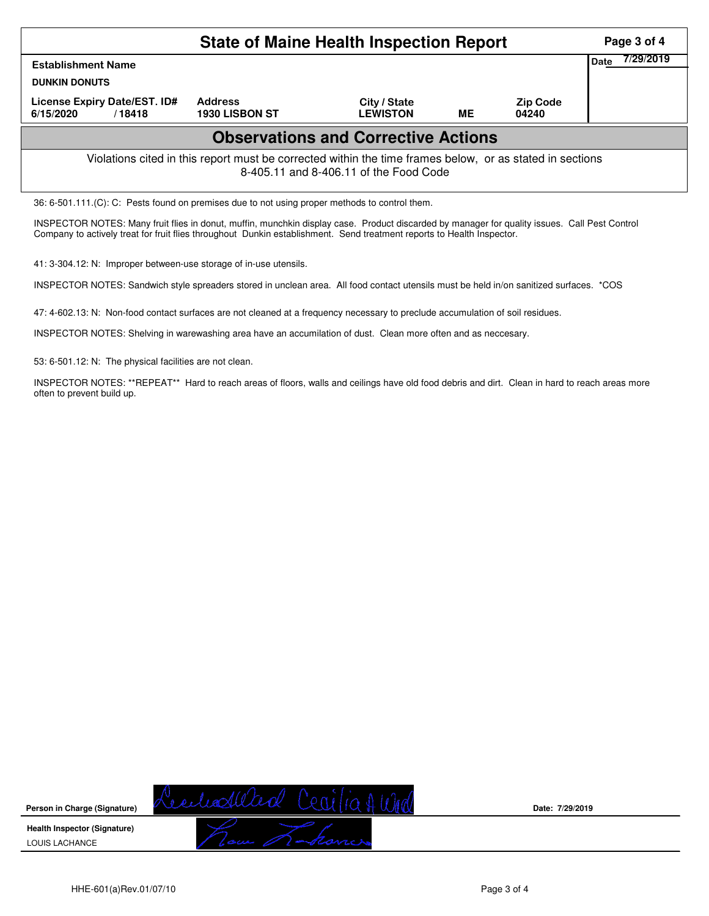| <b>State of Maine Health Inspection Report</b><br>Page 3 of 4                                                                                      |                                  |                                 |    |                          |  |  |  |  |  |  |
|----------------------------------------------------------------------------------------------------------------------------------------------------|----------------------------------|---------------------------------|----|--------------------------|--|--|--|--|--|--|
| <b>Establishment Name</b><br><b>DUNKIN DONUTS</b>                                                                                                  | 7/29/2019<br>Date                |                                 |    |                          |  |  |  |  |  |  |
| License Expiry Date/EST. ID#<br>6/15/2020<br>/18418                                                                                                | <b>Address</b><br>1930 LISBON ST | City / State<br><b>LEWISTON</b> | ME | <b>Zip Code</b><br>04240 |  |  |  |  |  |  |
| <b>Observations and Corrective Actions</b>                                                                                                         |                                  |                                 |    |                          |  |  |  |  |  |  |
| Violations cited in this report must be corrected within the time frames below, or as stated in sections<br>8-405.11 and 8-406.11 of the Food Code |                                  |                                 |    |                          |  |  |  |  |  |  |
| 36: 6-501.111.(C): C: Pests found on premises due to not using proper methods to control them.                                                     |                                  |                                 |    |                          |  |  |  |  |  |  |

INSPECTOR NOTES: Many fruit flies in donut, muffin, munchkin display case. Product discarded by manager for quality issues. Call Pest Control Company to actively treat for fruit flies throughout Dunkin establishment. Send treatment reports to Health Inspector.

41: 3-304.12: N: Improper between-use storage of in-use utensils.

INSPECTOR NOTES: Sandwich style spreaders stored in unclean area. All food contact utensils must be held in/on sanitized surfaces. \*COS

47: 4-602.13: N: Non-food contact surfaces are not cleaned at a frequency necessary to preclude accumulation of soil residues.

INSPECTOR NOTES: Shelving in warewashing area have an accumilation of dust. Clean more often and as neccesary.

53: 6-501.12: N: The physical facilities are not clean.

INSPECTOR NOTES: \*\*REPEAT\*\* Hard to reach areas of floors, walls and ceilings have old food debris and dirt. Clean in hard to reach areas more often to prevent build up.

**Person in Charge (Signature) Health Inspector (Signature)** 

LOUIS LACHANCE

**Date: 7/29/2019**